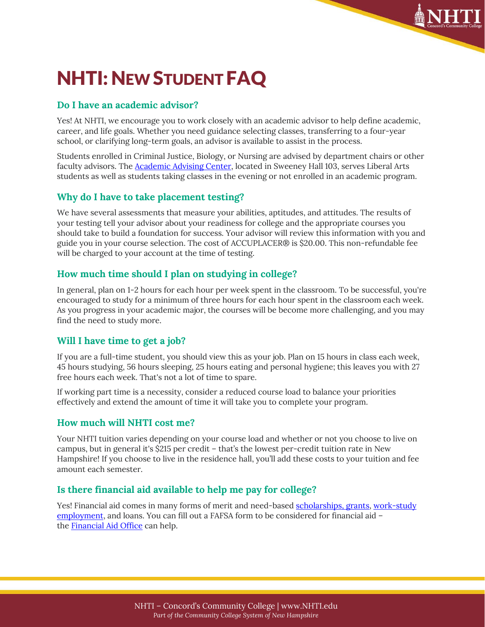

# NHTI: NEW STUDENT FAQ

## **Do I have an academic advisor?**

Yes! At NHTI, we encourage you to work closely with an academic advisor to help define academic, career, and life goals. Whether you need guidance selecting classes, transferring to a four-year school, or clarifying long-term goals, an advisor is available to assist in the process.

Students enrolled in Criminal Justice, Biology, or Nursing are advised by department chairs or other faculty advisors. The [Academic Advising Center,](https://www.nhti.edu/services/academic-assistance/tutoring-with-ace/) located in Sweeney Hall 103, serves Liberal Arts students as well as students taking classes in the evening or not enrolled in an academic program.

# **Why do I have to take placement testing?**

We have several assessments that measure your abilities, aptitudes, and attitudes. The results of your testing tell your advisor about your readiness for college and the appropriate courses you should take to build a foundation for success. Your advisor will review this information with you and guide you in your course selection. The cost of ACCUPLACER® is \$20.00. This non-refundable fee will be charged to your account at the time of testing.

# **How much time should I plan on studying in college?**

In general, plan on 1-2 hours for each hour per week spent in the classroom. To be successful, you're encouraged to study for a minimum of three hours for each hour spent in the classroom each week. As you progress in your academic major, the courses will be become more challenging, and you may find the need to study more.

# **Will I have time to get a job?**

If you are a full-time student, you should view this as your job. Plan on 15 hours in class each week, 45 hours studying, 56 hours sleeping, 25 hours eating and personal hygiene; this leaves you with 27 free hours each week. That's not a lot of time to spare.

If working part time is a necessity, consider a reduced course load to balance your priorities effectively and extend the amount of time it will take you to complete your program.

### **How much will NHTI cost me?**

Your NHTI tuition varies depending on your course load and whether or not you choose to live on campus, but in general it's \$215 per credit – that's the lowest per-credit tuition rate in New Hampshire! If you choose to live in the residence hall, you'll add these costs to your tuition and fee amount each semester.

### **Is there financial aid available to help me pay for college?**

Yes! Financial aid comes in many forms of merit and need-base[d scholarships, grants,](https://www.nhti.edu/paying-for-nhti/financial-aid/scholarship-grants/) [work-study](https://www.nhti.edu/paying-for-nhti/financial-aid/work-study/?)  [employment,](https://www.nhti.edu/paying-for-nhti/financial-aid/work-study/?) and loans. You can fill out a FAFSA form to be considered for financial aid – the [Financial Aid Office](https://www.nhti.edu/admissions/financial-aid) can help.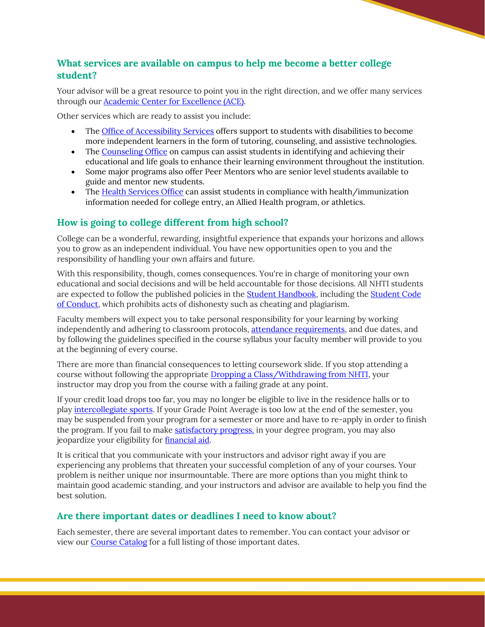# **What services are available on campus to help me become a better college student?**

Your advisor will be a great resource to point you in the right direction, and we offer many services through our [Academic Center for Excellence \(ACE\).](https://www.nhti.edu/services/academic-assistance/tutoring-with-ace/)

Other services which are ready to assist you include:

- The [Office of Accessibility Services](https://www.nhti.edu/services/student-support/accessibility-services/) offers support to students with disabilities to become more independent learners in the form of tutoring, counseling, and assistive technologies.
- The [Counseling Office](https://www.nhti.edu/services/student-support/counseling-services/) on campus can assist students in identifying and achieving their educational and life goals to enhance their learning environment throughout the institution.
- Some major programs also offer Peer Mentors who are senior level students available to guide and mentor new students.
- The [Health Services Office](https://www.nhti.edu/services/campus-resources/health-services/) can assist students in compliance with health/immunization information needed for college entry, an Allied Health program, or athletics.

## **How is going to college different from high school?**

College can be a wonderful, rewarding, insightful experience that expands your horizons and allows you to grow as an independent individual. You have new opportunities open to you and the responsibility of handling your own affairs and future.

With this responsibility, though, comes consequences. You're in charge of monitoring your own educational and social decisions and will be held accountable for those decisions. All NHTI students are expected to follow the published policies in the [Student Handbook,](https://www.nhti.edu/current-students/student-handbook/) including the [Student Code](https://www.nhti.edu/current-students/student-life/student-code-of-conduct-judicial-process/)  [of Conduct,](https://www.nhti.edu/current-students/student-life/student-code-of-conduct-judicial-process/) which prohibits acts of dishonesty such as cheating and plagiarism.

Faculty members will expect you to take personal responsibility for your learning by working independently and adhering to classroom protocols, [attendance requirements,](https://www.nhti.edu/current-students/requirements-policies/attendance/) and due dates, and by following the guidelines specified in the course syllabus your faculty member will provide to you at the beginning of every course.

There are more than financial consequences to letting coursework slide. If you stop attending a course without following the appropriate [Dropping a Class/Withdrawing from NHTI,](https://www.nhti.edu/current-students/requirements-policies/dropping-classes-withdrawing-from-nhti/?highlight=Dropping%20Classes%2FWithdrawing%20from%20NHTI) your instructor may drop you from the course with a failing grade at any point.

If your credit load drops too far, you may no longer be eligible to live in the residence halls or to play [intercollegiate sports.](https://www.nhti.edu/campus-life/athletics/) If your Grade Point Average is too low at the end of the semester, you may be suspended from your program for a semester or more and have to re-apply in order to finish the program. If you fail to make satisfactory progress, in your degree program, you may also jeopardize your eligibility for [financial aid.](https://www.nhti.edu/paying-for-nhti/financial-aid/?highlight=Financial)

It is critical that you communicate with your instructors and advisor right away if you are experiencing any problems that threaten your successful completion of any of your courses. Your problem is neither unique nor insurmountable. There are more options than you might think to maintain good academic standing, and your instructors and advisor are available to help you find the best solution.

### **Are there important dates or deadlines I need to know about?**

Each semester, there are several important dates to remember. You can contact your advisor or view our [Course Catalog](https://www.nhti.edu/programs-courses/catalog/) for a full listing of those important dates.